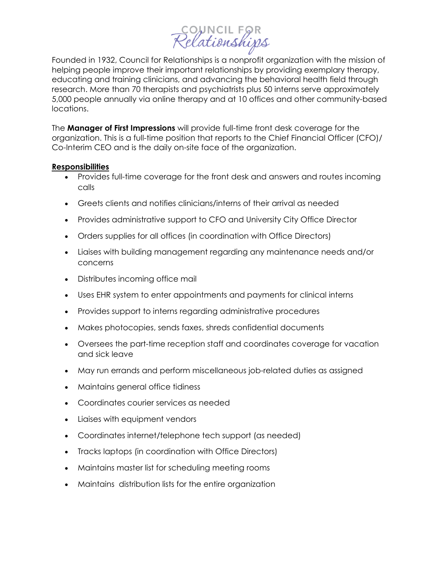## council FOR<br>?elationships

Founded in 1932, Council for Relationships is a nonprofit organization with the mission of helping people improve their important relationships by providing exemplary therapy, educating and training clinicians, and advancing the behavioral health field through research. More than 70 therapists and psychiatrists plus 50 interns serve approximately 5,000 people annually via online therapy and at 10 offices and other community-based locations.

The **Manager of First Impressions** will provide full-time front desk coverage for the organization. This is a full-time position that reports to the Chief Financial Officer (CFO)/ Co-Interim CEO and is the daily on-site face of the organization.

## **Responsibilities**

- Provides full-time coverage for the front desk and answers and routes incoming calls
- Greets clients and notifies clinicians/interns of their arrival as needed
- Provides administrative support to CFO and University City Office Director
- Orders supplies for all offices (in coordination with Office Directors)
- Liaises with building management regarding any maintenance needs and/or concerns
- Distributes incoming office mail
- Uses EHR system to enter appointments and payments for clinical interns
- Provides support to interns regarding administrative procedures
- Makes photocopies, sends faxes, shreds confidential documents
- Oversees the part-time reception staff and coordinates coverage for vacation and sick leave
- May run errands and perform miscellaneous job-related duties as assigned
- Maintains general office tidiness
- Coordinates courier services as needed
- Liaises with equipment vendors
- Coordinates internet/telephone tech support (as needed)
- Tracks laptops (in coordination with Office Directors)
- Maintains master list for scheduling meeting rooms
- Maintains distribution lists for the entire organization